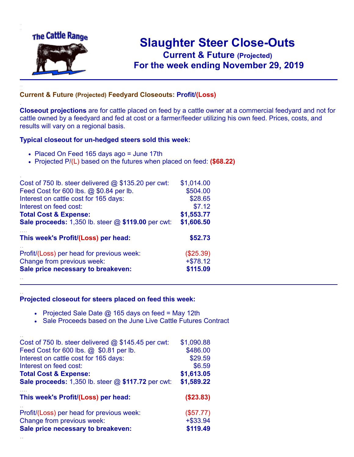

.

..

## **Slaughter Steer Close-Outs Current & Future (Projected)** .**For the week ending November 29, 2019**

## **Current & Future (Projected) Feedyard Closeouts: Profit/(Loss)**

**Closeout projections** are for cattle placed on feed by a cattle owner at a commercial feedyard and not for cattle owned by a feedyard and fed at cost or a farmer/feeder utilizing his own feed. Prices, costs, and results will vary on a regional basis.

## **Typical closeout for un-hedged steers sold this week:**

- Placed On Feed 165 days ago = June 17th
- Projected P/(L) based on the futures when placed on feed: **(\$68.22)**

| Cost of 750 lb. steer delivered $@$ \$135.20 per cwt:       | \$1,014.00 |
|-------------------------------------------------------------|------------|
| Feed Cost for 600 lbs. @ \$0.84 per lb.                     | \$504.00   |
| Interest on cattle cost for 165 days:                       | \$28.65    |
| Interest on feed cost:                                      | \$7.12     |
| <b>Total Cost &amp; Expense:</b>                            | \$1,553.77 |
| <b>Sale proceeds:</b> 1,350 lb. steer $@$ \$119.00 per cwt: | \$1,606.50 |
| This week's Profit/(Loss) per head:                         | \$52.73    |
| Profit/(Loss) per head for previous week:                   | (\$25.39)  |
| Change from previous week:                                  | $+ $78.12$ |
| Sale price necessary to breakeven:                          | \$115.09   |
|                                                             |            |

## **Projected closeout for steers placed on feed this week:**

- Projected Sale Date  $@$  165 days on feed = May 12th
- Sale Proceeds based on the June Live Cattle Futures Contract

| Cost of 750 lb. steer delivered $@$ \$145.45 per cwt:  | \$1,090.88  |
|--------------------------------------------------------|-------------|
| Feed Cost for 600 lbs. @ \$0.81 per lb.                | \$486.00    |
| Interest on cattle cost for 165 days:                  | \$29.59     |
| Interest on feed cost:                                 | \$6.59      |
| <b>Total Cost &amp; Expense:</b>                       | \$1,613.05  |
| Sale proceeds: $1,350$ lb. steer $@$ \$117.72 per cwt: | \$1,589.22  |
| This week's Profit/(Loss) per head:                    | (S23.83)    |
| Profit/(Loss) per head for previous week:              | (\$57.77)   |
| Change from previous week:                             | $+$ \$33.94 |
| Sale price necessary to breakeven:                     | \$119.49    |
|                                                        |             |